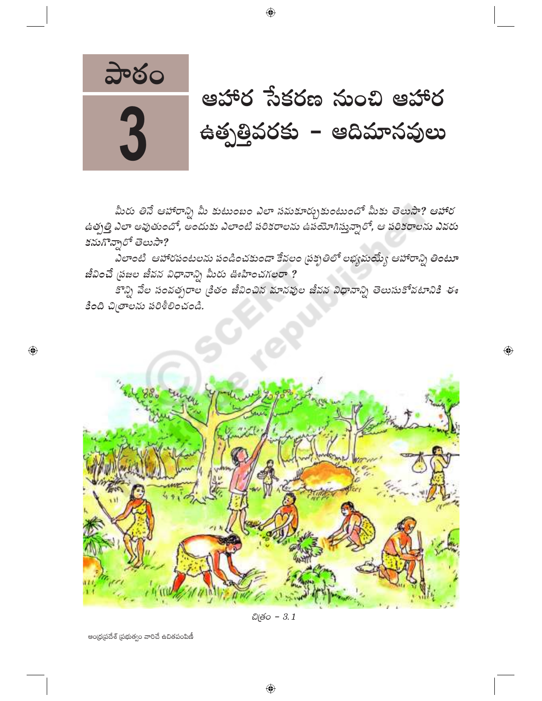

3

 $\bigoplus$ 

# ఆహార సేకరణ నుంచి ఆహార ఉత్పత్తివరకు – ఆదిమానవులు

 $\bigoplus$ 

మీరు తినే ఆహారాన్ని మీ కుటుంబం ఎలా సమకూర్చుకుంటుందో మీకు తెలుసా? ఆహార ఉత్పత్తి ఎలా అవుతుందో, అందుకు ఎలాంటి పరికరాలను ఉపయోగిస్తున్నారో, ఆ పరికరాలను ఎవరు కనుగొన్నారో తెలుసా?

 $\bigoplus$ 

ఎలాంటి ఆహారపంటలను పండించకుండా కేవలం (పక్పతిలో లభ్యమయ్యే ఆహారాన్ని తింటూ జీవించే ప్రజల జీవన విధానాన్ని మీరు ఊహించగలరా ?

కొన్ని వేల సంవత్సరాల <sub>టీ</sub>తం జీవించిన మానవుల జీవన విధానాన్ని తెలుసుకోవటానికి ఈ కింది చిత్రాలను పరిశీలించండి.



చిత్రం - 3.1

ఆంధ్రప్రదేశ్ (పభుత్వం వారిచే ఉచితపంపిణీ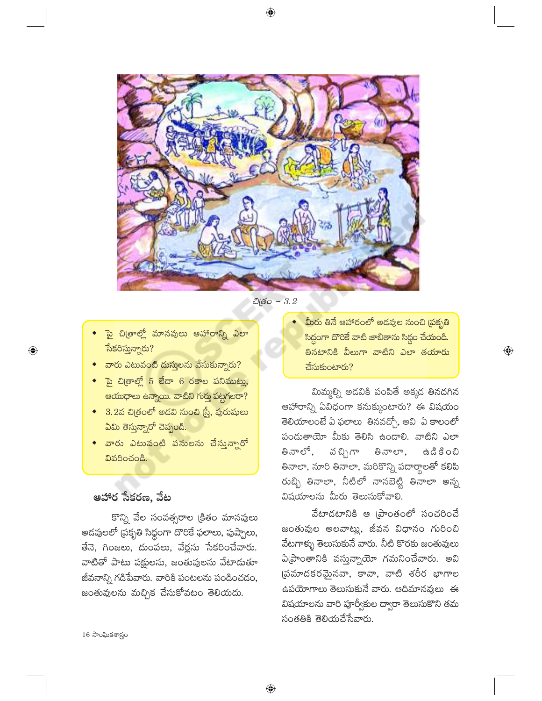

 $\bigoplus$ 

- ెపై చిఱ్రాల్లో మానవులు ఆహారాన్ని ఎలా సేకరిస్తున్నారు?
- వారు ఎటువంటి దుస్తులను వేసుకున్నారు?
- <mark>ైపై చి</mark>త్రాల్లో 5 లేదా 6 రకాల పనిముట్లు, ఆయుధాలు ఉన్నాయి. వాటిని గుర్తు పట్టగలరా?
- $\bullet$  3.2వ చిత్రంలో అడవి నుంచి (స్త్రీ, పురుషులు ఏమి తెస్తున్నారో చెప్పండి.
- ◆ వారు ఎటువంటి పనులను చేసున్నారో వివరించండి.

# ఆహార సేకరణ, వేట

కొన్ని వేల సంవత్సరాల క్రితం మానవులు అడవులలో (పకృతి సిధ్దంగా దొరికే ఫలాలు, పుష్పాలు, తేనె, గింజలు, దుంపలు, వేర్లను సేకరించేవారు. వాటితో పాటు పక్షులను, జంతువులను వేటాదుతూ జీవనాన్ని గడిపేవారు. వారికి పంటలను పండించడం, జంతువులను మచ్చిక చేసుకోవటం తెలియదు.

మీరు తినే ఆహారంలో అడవుల నుంచి (పకృతి సిద్ధంగా దొరికే వాటి జాబితాను సిద్ధం చేయండి. తినటానికి వీలుగా వాటిని ఎలా తయారు చేసుకుంటారు?

 $\bigoplus$ 

మిమ్మల్ని అడవికి పంపితే అక్కడ తినదగిన ఆహారాన్ని ఏవిధంగా కనుక్కుంటారు? ఈ విషయం తెలియాలంటే ఏ ఫలాలు తినవచ్చో, అవి ఏ కాలంలో పందుతాయో మీకు తెలిసి ఉందాలి. వాటిని ఎలా తినాలో, వచ్చిగా తినాలా, සයී පී රඩ తినాలా, నూరి తినాలా, మరికొన్ని పదార్థాలతో కలిపి రుబ్బి తినాలా, నీటిలో నానబెట్టి తినాలా అన్న విషయాలను మీరు తెలుసుకోవాలి.

వేటాడటానికి ఆ (పాంతంలో సంచరించే జంతువుల అలవాట్లు, జీవన విధానం గురించి వేటగాళ్ళు తెలుసుకునే వారు. నీటి కొరకు జంతువులు ఏ[పాంతానికి వస్తున్నాయో గమనించేవారు. అవి (పమాదకరమైనవా, కావా, వాటి శరీర భాగాల ఉపయోగాలు తెలుసుకునే వారు. ఆదిమానవులు ఈ విషయాలను వారి పూర్వీకుల ద్వారా తెలుసుకొని తమ సంతతికి తెలియచేసేవారు.

16 సాంఘికశాస్త్రం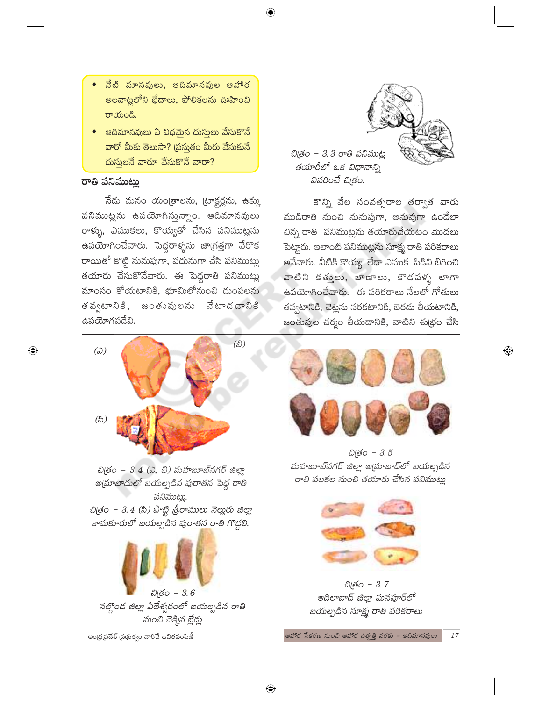- నేటి మానవులు, ఆదిమానవుల ఆహార అలవాట్లలోని భేదాలు, పోలికలను ఊహించి రాయండి.
- ్ఆదిమానవులు ఏ విధమైన దుస్తులు వేసుకొనే వారో మీకు తెలుసా? (పస్తుతం మీరు వేసుకునే దుస్తులనే వారూ వేసుకొనే వారా?

#### రాతి పనిముట్లు

 $\bigoplus$ 

నేదు మనం యంత్రాలను, ట్రాక్టర్లను, ఉక్కు పనిముట్లను ఉపయోగిస్తున్నాం. ఆదిమానవులు రాళ్ళు, ఎముకలు, కొయ్యతో చేసిన పనిముట్లను ఉపయోగించేవారు. పెద్దరాళ్ళను జాగ్రత్తగా వేరొక రాయితో కొట్టి నునుపుగా, పదునుగా చేసి పనిముట్లు తయారు చేసుకొనేవారు. ఈ పెద్దరాతి పనిముట్లు మాంసం కోయటానికి, భూమిలోనుంచి దుంపలను తవ్వటానికి, జంతువులను వేటాడడానికి ఉపయోగపడేవి.



చిత్రం – 3.4 (ఎ, బి) మహబూబ్నగర్ జిల్లా అ[మాబాదులో బయల్పడిన పురాతన పెద్ద రాతి పనిముట్లు. చిత్రం – 3.4 (సి) పొట్టి శ్రీరాములు నెల్లురు జిల్లా

కామకూరులో బయల్పడిన పురాతన రాతి గొడ్డలి.



ఆంధ్రప్రదేశ్ (పభుత్వం వారిచే ఉచితపంపిణీ



చిత్రం - 3.3 రాతి పనిముట్ల తయారీలో ఒక విధానాన్ని వివరించే చిత్రం.

 $\bigoplus$ 

కొన్ని వేల సంవత్సరాల తర్వాత వారు ముడిరాతి నుంచి నునుపుగా, అనువుగా ఉండేలా చిన్న రాతి పనిముట్లను తయారుచేయటం మొదలు పెట్టారు. ఇలాంటి పనిముట్లను సూక్ష్మ రాతి పరికరాలు అనేవారు. వీటికి కొయ్య లేదా ఎముక పిడిని బిగించి వాటిని కతులు, బాణాలు, కొడవళ్ళ లాగా ఉపయోగించేవారు. ఈ పరికరాలు నేలలో గోతులు తవ్వటానికి, చెట్లను నరకటానికి, బెరడు తీయటానికి, జంతువుల చర్మం తీయడానికి, వాటిని శుథ్రం చేసి



 $\overline{\mathbb{Q}}$ 

చిత్రం - 3.5 మహబూబ్నగర్ జిల్లా అ[మాబాద్లో బయల్బడిన రాతి పలకల నుంచి తయారు చేసిన పనిముట్లు



చిత్రం - 3.7 ఆదిలాబాద్ జిల్లా ఘనపూర్లో బయల్పడిన సూక్ష్మ రాతి పరికరాలు

ఆహార సేకరణ నుంచి ఆహార ఉత్పత్తి వరకు – ఆదిమానవులు

 $\bigoplus$ 

**17**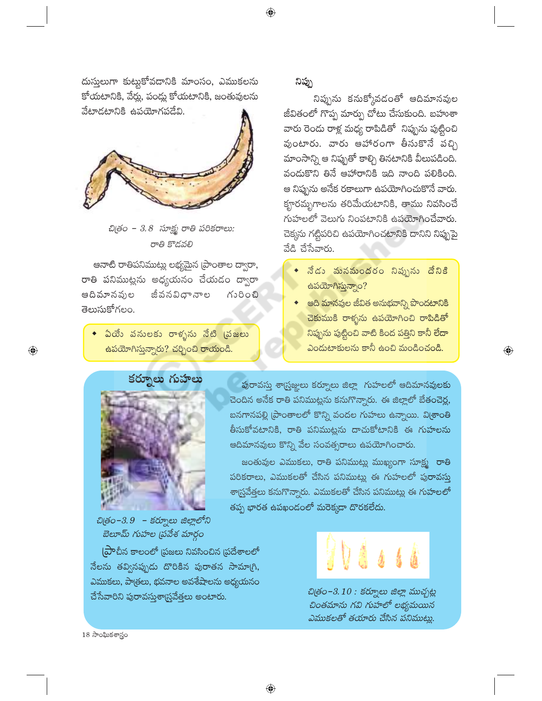దుస్తులుగా కుట్టుకోవడానికి మాంసం, ఎముకలను కోయటానికి, వేర్లు, పండ్లు కోయటానికి, జంతువులను వేటాడటానికి ఉపయోగపడేవి.



చిత్రం - 3.8 సూక్ష్మ రాతి పరికరాలు: రాతి కొడవలి

ఆనాటి రాతిపనిముట్లు లభ్యమైన [పాంతాల ద్వారా, రాతి పనిముట్లను అధ్యయనం చేయడం ద్వారా ఆదివూనవుల జీవనవిధానాల గురించి తెలుసుకోగలం.

ఏయే పనులకు రాళ్ళను నేటి (పజలు <mark>ఉపయోగిస్తున్నారు? చర్చించి రాయండి.</mark>

నిప్పు

నిప్పును కనుక్కోవడంతో ఆదిమానవుల జీవితంలో గొప్ప మార్పు చోటు చేసుకుంది. బహుశా వారు రెండు రాళ్ల మధ్య రాపిడితో నిప్పును పుట్టించి వుంటారు. వారు ఆహారంగా తీసుకొనే పచ్చి మాంసాన్ని ఆ నిప్పుతో కాల్చి తినటానికి వీలుపడింది. వందుకొని తినే ఆహారానికి ఇది నాంది పలికింది. ఆ నిప్పును అనేక రకాలుగా ఉపయోగించుకొనే వారు. కౄరమృగాలను తరిమేయటానికి, తాము నివసించే గుహలలో వెలుగు నింపటానికి ఉపయోగించేవారు. చెక్కను గట్టిపరిచి ఉపయోగించటానికి దానిని నిప్పుపై వేడి చేసేవారు.

- నేడు మనమందరం నిప్పును దేనికి  $\triangle$ పయోగిస్తున్నాం?
- ఆది మానవుల జీవిత అనుభవాన్ని పొందటానికి చెకుముకి రాళ్ళను ఉపయోగించి రాపిడితో నిప్పును పుట్టించి వాటి కింద పత్తిని కానీ లేదా ఎందుటాకులను కానీ ఉంచి మండించండి.

 $\bigoplus$ 



చిత్రం-3.9 - కర్నూలు జిల్లాలోని బెలూమ్ గుహల (పవేశ మార్గం

(ప్రాచీన కాలంలో (పజలు నివసించిన (పదేశాలలో నేలను తవ్వినప్పుడు దొరికిన పురాతన సామా(గి, ఎముకలు, పాత్రలు, భవనాల అవశేషాలను అధ్యయనం చేసేవారిని పురావస్తుశా్యవేత్తలు అంటారు.

పురావస్తు శాగ్రుజ్జులు కర్నూలు జిల్లా గుహలలో ఆదిమానవులకు చెందిన అనేక రాతి పనిముట్లను కనుగొన్నారు. ఈ జిల్లాలో బేతంచెర్ల, బనగానపల్లి [పాంతాలలో కొన్ని వందల గుహలు ఉన్నాయి. వి[శాంతి తీసుకోవటానికి, రాతి పనిముట్లను దాచుకోటానికి ఈ గుహలను ఆదిమానవులు కొన్ని వేల సంవత్సరాలు ఉపయోగించారు.

జంతువుల ఎముకలు, రాతి పనిముట్లు ముఖ్యంగా సూక్ష్మ రాతి పరికరాలు, ఎముకలతో చేసిన పనిముట్లు ఈ గుహలలో పురావస్తు శాద్ర్రవేత్తలు కనుగొన్నారు. ఎముకలతో చేసిన పనిముట్లు ఈ గుహలలో తప్ప భారత ఉపఖండంలో మరెక్కడా దొరకలేదు.

 $\bigoplus$ 



చిత్రం–3.10 : కర్నూలు జిల్లా ముచ్చట్ల చింతమాను గవి గుహలో లభ్యమయిన ఎముకలతో తయారు చేసిన పనిముట్లు.

18 సాంఘికశాస్త్రం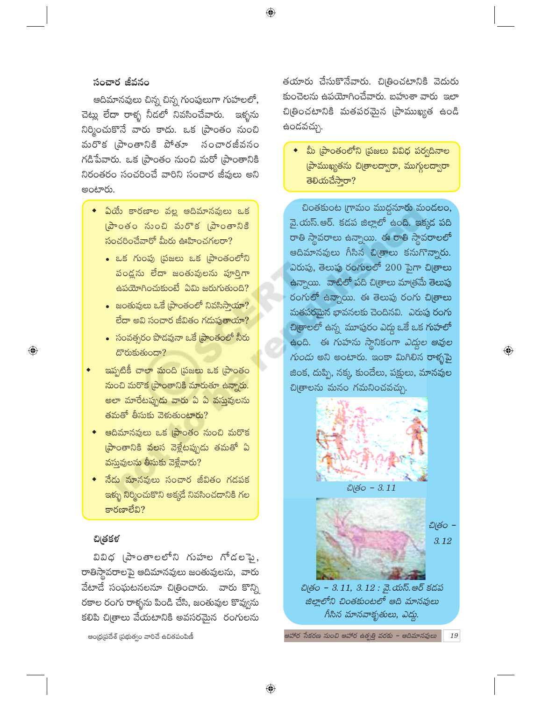#### సంచార జీవనం

ఆదిమానవులు చిన్న చిన్న గుంపులుగా గుహలలో, చెట్లు లేదా రాళ్ళ నీడలో నివసించేవారు. ఇళ్ళను నిర్మించుకొనే వారు కాదు. ఒక (పాంతం నుంచి మరొక (పాంతానికి పోతూ సంచారజీవనం గడిపేవారు. ఒక (పాంతం నుంచి మరో (పాంతానికి నిరంతరం సంచరించే వారిని సంచార జీవులు అని అంటారు.

- ఏయే కారణాల వల్ల ఆదిమానవులు ఒక స్టాంతం నుంచి మరొక (పాంతానికి సంచరించేవారో మీరు ఊహించగలరా?
	- ఒక గుంపు (పజలు ఒక (పాంతంలోని పండ్లను లేదా జంతువులను పూర్తిగా ఉపయోగించుకుంటే ఏమి జరుగుతుంది?
	- $\bullet$  జంతువులు ఒకే [పాంతంలో నివసిసాయా? లేదా అవి సంచార జీవితం గదుపుతాయా?
	- సంవత్సరం పొడవునా ఒకే [పాంతంలో నీరు దొరుకుతుందా?
- ఇప్పటికీ చాలా మంది (పజలు ఒక (పాంతం నుంచి మరొక [పాంతానికి మారుతూ ఉన్నారు. అలా మారేటప్పుడు వారు ఏ ఏ వస్తువులను తమతో తీసుకు వెళుతుంటారు?
- ఆదిమానవులు ఒక [పాంతం నుంచి మరొక ప్రాంతానికి వలస వెళ్లేటప్పుడు తమతో ఏ వస్తువులను తీసుకు వెళ్లేవారు?
- ెనేడు మానవులు సంచార జీవితం గడపక <mark>ఇళ్ళు నిర్మించుకొని అక్కడే నివసించడానికి గల</mark> కారణాలేవి?

#### చిత్రకళ

 $\bigoplus$ 

వివిధ (పాంతాలలోని గుహల గోడలపై, రాతిస్తావరాలపై ఆదిమానవులు జంతువులను, వారు వేటాడే సంఘటనలనూ చిత్రించారు. వారు కొన్ని రకాల రంగు రాళ్ళను పిండి చేసి, జంతువుల కొవ్వును కలిపి చి[తాలు వేయటానికి అవసరమైన రంగులను

 $\bigoplus$ 

ఆంధ్రప్రదేశ్ (పభుత్వం వారిచే ఉచితపంపిణీ

తయారు చేసుకొనేవారు. చిత్రించటానికి వెదురు కుంచెలను ఉపయోగించేవారు. బహుశా వారు ఇలా చిట్రించటానికి మతపరమైన [పాముఖ్యత ఉండి ఉందవచ్చు.

◆ మీ (పాంతంలోని (పజలు వివిధ పర్వదినాల ప్రాముఖ్యతను చి[తాలద్వారా, ముగ్గులద్వారా తెలియచేసారా?

చింతకుంట గ్రామం ముద్దనూరు మండలం, వై.యస్.ఆర్. కడప జిల్లాలో ఉంది. ఇక్కడ పది రాతి స్థావరాలు ఉన్నాయి. ఈ రాతి స్థావరాలలో ఆదిమానవులు గీసిన చిత్రాలు కనుగొన్నారు. ఎరుపు, తెలుపు రంగులలో 200 పైగా చి[తాలు ఉన్నాయి. వాటిలో పది చిత్రాలు మాత్రమే తెలుపు రంగులో ఉన్నాయి. ఈ తెలుపు రంగు చి[తాలు మతపరమైన భావనలకు చెందినవి. ఎరుపు రంగు చిత్రాలలో ఉన్న మూపురం ఎద్దు ఒకే ఒక గుహలో ఉంది. ఈ గుహను స్థానికంగా *ఎద్దల ఆవుల గుందు* అని అంటారు. ఇంకా మిగిలిన రాళ్ళపై జింక, దుప్పి, నక్క కుందేలు, పక్షులు, మానవుల చిత్రాలను మనం గమనించవచ్చు.

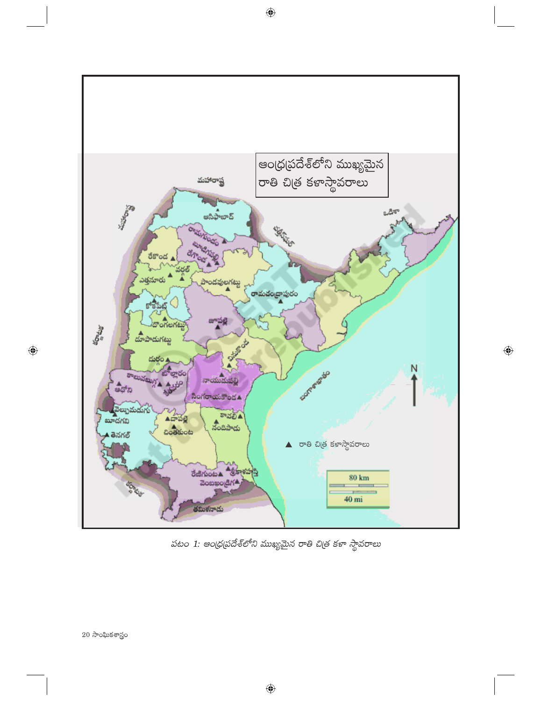

 $\bigoplus$ 

పటం 1: ఆంధ్రప్రదేశ్లలోని ముఖ్యమైన రాతి చిత్ర కళా స్థావరాలు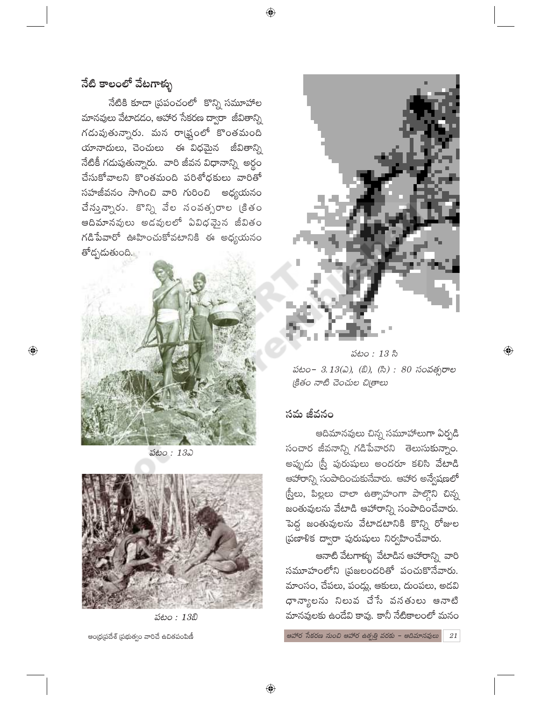⊕

# నేటి కాలంలో వేటగాళ్ళు

నేటికి కూడా (పపంచంలో కొన్ని సమూహాల మానవులు వేటాదడం, ఆహార సేకరణ ద్వారా జీవితాన్ని గడుపుతున్నారు. మన రా్డకుంలో కొంతమంది యానాదులు, చెంచులు ఈ విధమైన జీవితాన్ని నేటికీ గడుపుతున్నారు. వారి జీవన విధానాన్ని అర్థం చేసుకోవాలని కొంతమంది పరిశోధకులు వారితో సహజీవనం సాగించి వారి గురించి అధ్యయనం చేస్తున్నారు. కొన్ని వేల సంవత్సరాల<sup>్</sup> క్రితం ఆదిమానవులు అడవులలో ఏవిధవైన జీవితం గడిపేవారో ఊహించుకోవటానికి ఈ అధ్యయనం తోద్భదుతుంది.



 $\bigoplus$ 

పటం: 132



పటం: 13బి

ఆంధ్రప్రదేశ్ (పభుత్వం వారిచే ఉచితపంపిణీ





 $\bigoplus$ 

#### సమ జీవనం

ఆదిమానవులు చిన్న సమూహాలుగా ఏర్పడి సంచార జీవనాన్ని గడిపేవారని తెలుసుకున్నాం. అప్పుడు న్రీ పురుషులు అందరూ కలిసి వేటాడి ఆహారాన్ని సంపాదించుకునేవారు. ఆహార అన్వేషణలో స్రీలు, పిల్లలు చాలా ఉత్సాహంగా పాల్గొని చిన్న జంతువులను వేటాడి ఆహారాన్ని సంపాదించేవారు. పెద్ద జంతువులను వేటాడటానికి కొన్ని రోజుల (పణాళిక ద్వారా పురుషులు నిర్వహించేవారు.

ఆనాటి వేటగాళ్ళు వేటాడిన ఆహారాన్ని వారి సమూహంలోని (పజలందరితో పంచుకొనేవారు. మాంసం, చేపలు, పండ్లు, ఆకులు, దుంపలు, అడవి ధాన్యాలను నిలువ చేసే వసతులు ఆనాటి మానవులకు ఉండేవి కావు. కానీ నేటికాలంలో మనం

ఆహార సేకరణ నుంచి ఆహార ఉత్పత్తి వరకు – ఆదిమానవులు 21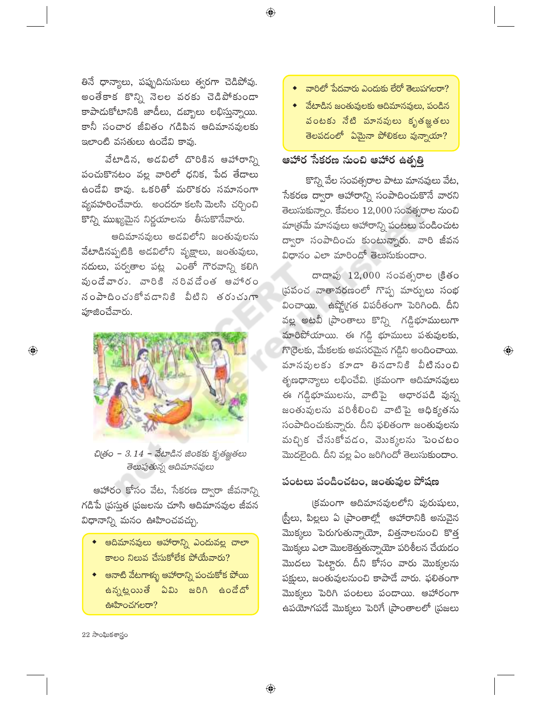తినే ధాన్యాలు, పప్పుదినుసులు త్వరగా చెడిపోవు. అంతేకాక కొన్ని నెలల వరకు చెడిపోకుండా కాపాదుకోటానికి జాడీలు, దబ్బాలు లభిస్తున్నాయి. కానీ సంచార జీవితం గడిపిన ఆదిమానవులకు ఇలాంటి వసతులు ఉండేవి కావు.

వేటాడిన, అడవిలో దొరికిన ఆహారాన్ని పంచుకొనటం వల్ల వారిలో ధనిక, పేద తేదాలు ఉండేవి కావు. ఒకరితో మరొకరు సమానంగా వ్యవహరించేవారు. అందరూ కలసి మెలసి చర్చించి కొన్ని ముఖ్యమైన నిర్ణయాలను తీసుకొనేవారు.

ఆదిమానవులు అడవిలోని జంతువులను వేటాడినప్పటికి అడవిలోని వృక్షాలు, జంతువులు, నదులు, పర్వతాల పట్ల ఎంతో గౌరవాన్ని కలిగి వుండేవారు. వారికి నరివడేంత అహారం నంపాదించుకోవడానికి వీటిని తరుచుగా పూజించేవారు.



చిత్రం - 3.14 - వేటాడిన జింకకు కృతజ్ఞతలు తెలుపుతున్న ఆదిమానవులు

ఆహారం కోసం వేట, సేకరణ ద్వారా జీవనాన్ని గడిపే (పస్తుత (పజలను చూసి ఆదిమానవుల జీవన విధానాన్ని మనం ఊహించవచ్చు.

- ◆ ఆదిమానవులు ఆహారాన్ని ఎందువల్ల చాలా కాలం నిలువ చేసుకోలేక పోయేవారు?
- ◆ అనాటి వేటగాళ్ళు అహారాన్ని పంచుకోక పోయి <mark>ఉన్నట్లయితే ఏమి జరిగి ఉండేదో</mark> ఊహించగలరా?

 $\bullet$  వారిలో పేదవారు ఎందుకు లేరో తెలుపగలరా?

 $\;\bullet\;\;$  వేటాడిన జంతువులకు ఆదిమానవులు, పండిన పంటకు నేటి మానవులు కృతజ్ఞతలు తెలపడంలో ఏమైనా పోలికలు వున్నాయా?

# ఆహార సేకరణ నుంచి ఆహార ఉత్పత్తి

 $\bigoplus$ 

కొన్ని వేల సంవత్సరాల పాటు మానవులు వేట, సేకరణ ద్వారా ఆహారాన్ని సంపాదించుకొనే వారని తెలుసుకున్నాం. కేవలం  $12,000$  సంవత్సరాల నుంచి మాత్రమే మానవులు ఆహారాన్ని పంటలు పండించుట ద్వారా సంపాదించు కుంటున్నారు. వారి జీవన విధానం ఎలా మారిందో తెలుసుకుందాం.

దాదాపు 12,000 సంవత్సరాల క్రితం స్రపంచ వాతావరణంలో గొప్ప మార్పులు సంభ వించాయి. ఉష్ణో(గత విపరీతంగా పెరిగింది. దీని వల్ల అటవీ [పాంతాలు కొన్ని గడ్డిభూములుగా మారిపోయాయి. ఈ గడ్డి భూములు పశువులకు, గొర్రెలకు, మేకలకు అవసరమైన గడ్డిని అందించాయి. మానవులకు కూడా తినడానికి వీటినుంచి తృణధాన్యాలు లభించేవి. (కమంగా ఆదిమానవులు ఈ గడ్డిభూములను, వాటిపై ఆధారపడి వున్న జంతువులను పరిశీలించి వాటిపై ఆధిక్యతను సంపాదించుకున్నారు. దీని ఫలితంగా జంతువులను మచ్చిక చేసుకోవడం, మొక్కలను పెంచటం మొదలైంది. దీని వల్ల ఏం జరిగిందో తెలుసుకుందాం.

 $\textcircled{\scriptsize{*}}$ 

#### పంటలు పండించటం, జంతువుల పోషణ

క్రమంగా ఆదిమానవులలోని పురుషులు, స్రీలు, పిల్లలు ఏ ప్రాంతాల్లో ఆహారానికి అనువైన మొక్కలు పెరుగుతున్నాయో, విత్తనాలనుంచి కొత్త మొక్కలు ఎలా మొలకెత్తుతున్నాయో పరిశీలన చేయడం మొదలు పెట్టారు. దీని కోసం వారు మొక్కలను పక్షులు, జంతువులనుంచి కాపాడే వారు. ఫలితంగా మొక్కలు పెరిగి పంటలు పండాయి. ఆహారంగా ఉపయోగపడే మొక్కలు పెరిగే (పాంతాలలో (పజలు

 $22$  సాంఘికశాస్త్రం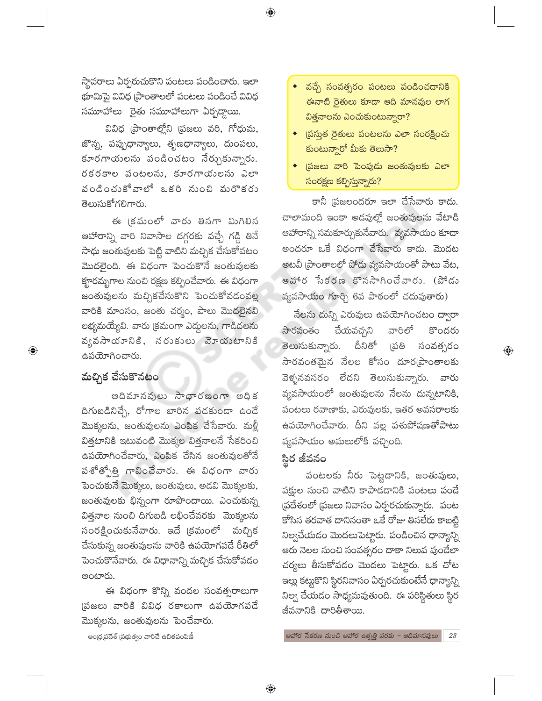స్థావరాలు ఏర్పరుచుకొని పంటలు పండించారు. ఇలా భూమిపై వివిధ [పాంతాలలో పంటలు పండించే వివిధ సమూహాలు రైతు సమూహాలుగా ఏర్పడ్దాయి.

 $\bigoplus$ 

వివిధ (పాంతాల్లోని (పజలు వరి, గోధుమ, జొన్న, పప్పుధాన్యాలు, తృణధాన్యాలు, దుంపలు, కూరగాయలను పండించటం నేర్చుకున్నారు. రకరకాల పంటలను, కూరగాయలను ఎలా పండించుకోవాలో ఒకరి నుంచి మరొకరు తెలుసుకోగలిగారు.

ఈ క్రమంలో వారు తినగా మిగిలిన ఆహారాన్ని వారి నివాసాల దగ్గరకు వచ్చే గడ్డి తినే సాధు జంతువులకు పెట్టి వాటిని మచ్చిక చేసుకోవటం మొదలైంది. ఈ విధంగా పెంచుకొనే జంతువులకు కౄరమృగాల నుంచి రక్షణ కల్పించేవారు. ఈ విధంగా జంతువులను మచ్చికచేసుకొని పెంచుకోవడంవల్ల వారికి మాంసం, జంతు చర్మం, పాలు మొదలైనవి లభ్యమయ్యేవి. వారు క్రమంగా ఎద్దులను, గాడిదలను వృవసాయానికి, నరుకులు వెూయుటానికి ఉపయోగించారు.

# మచ్చిక చేసుకొనటం

 $\bigoplus$ 

ఆదిమానవులు సాధారణంగా అధిక దిగుబడినిచ్చే, రోగాల బారిన పడకుండా ఉండే మొక్కలను, జంతువులను ఎంపిక చేసేవారు. మళ్లీ విత్తటానికి ఇటువంటి మొక్కల విత్తనాలనే సేకరించి ఉపయోగించేవారు, ఎంపిక చేసిన జంతువులతోనే పశోత్బోత్తి గావించేవారు. ఈ విధంగా వారు పెంచుకునే మొక్కలు, జంతువులు, అడవి మొక్కలకు, జంతువులకు భిన్నంగా రూపొందాయి. ఎంచుకున్న విత్తనాల నుంచి దిగుబడి లభించేవరకు మొక్కలను సంరక్షించుకునేవారు. ఇదే క్రమంలో మచ్చిక చేసుకున్న జంతువులను వారికి ఉపయోగపడే రీతిలో పెంచుకొనేవారు. ఈ విధానాన్ని మచ్చిక చేసుకోవడం అంటారు.

ఈ విధంగా కొన్ని వందల సంవత్సరాలుగా (పజలు వారికి వివిధ రకాలుగా ఉపయోగపడే మొక్కలను, జంతువులను పెంచేవారు.

ఆంధ్రప్రదేశ్ (పభుత్వం వారిచే ఉచితపంపిణీ

- ◆ వచ్చే సంవత్సరం పంటలు పండించడానికి ఈనాటి రైతులు కూడా ఆది మానవుల లాగ విత్తనాలను ఎంచుకుంటున్నారా?
- ప్రస్తుత రైతులు పంటలను ఎలా సంరక్షించు కుంటున్నారో మీకు తెలుసా?
- (పజలు వారి పెంపుడు జంతువులకు ఎలా సంరక్షణ కల్పిస్తున్నారు?

కానీ (పజలందరూ ఇలా చేసేవారు కాదు. చాలామంది ఇంకా అడవుల్లో జంతువులను వేటాడి ఆహారాన్ని సమకూర్చుకునేవారు. వ్యవసాయం కూడా అందరూ ఒకే విధంగా చేసేవారు కాదు. మొదట అటవీ (పాంతాలలో పోడు వ్యవసాయంతో పాటు వేట, ఆహార సేకరణ కొనసాగించేవారు. (పోడు వ్యవసాయం గూర్చి 6వ పాఠంలో చదువుతారు)

నేలను దున్ని ఎరువులు ఉపయోగించటం ద్వారా వారిలో కొందరు సారవంతం చేయవచ్చని డ్రతి దీనితో తెలుసుకున్నారు. సంవత్సరం సారవంతమైన నేలల కోసం దూర్ఘపాంతాలకు వెళ్ళనవసరం లేదని తెలుసుకున్నారు. వారు వ్యవసాయంలో జంతువులను నేలను దున్నటానికి, పంటలు రవాణాకు, ఎరువులకు, ఇతర అవసరాలకు ఉపయోగించేవారు. దీని వల్ల పశుపోషణతోపాటు వ్యవసాయం అమలులోకి వచ్చింది.

 $\bigoplus$ 

### స్థిర జీవనం

పంటలకు నీరు పెట్టడానికి, జంతువులు, పక్షుల నుంచి వాటిని కాపాడడానికి పంటలు పండే స్రదేశంలో స్రజలు నివాసం ఏర్పరచుకున్నారు. పంట కోసిన తరవాత దానినంతా ఒకే రోజు తినలేరు కాబట్టి నిల్వచేయడం మొదలుపెట్టారు. పండించిన ధాన్యాన్ని ఆరు నెలల నుంచి సంవత్సరం దాకా నిలువ వుండేలా చర్యలు తీసుకోవడం మొదలు పెట్టారు. ఒక చోట ఇల్లు కట్టుకొని స్థిరనివాసం ఏర్పరచుకుంటేనే ధాన్యాన్ని నిల్వ చేయడం సాధ్యమవుతుంది. ఈ పరిస్థితులు స్థిర జీవనానికి దారితీశాయి.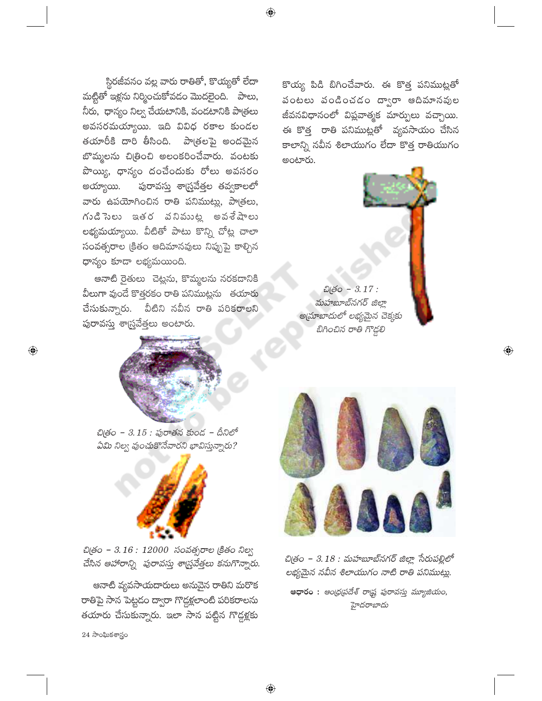స్థిరజీవనం వల్ల వారు రాతితో, కొయ్యతో లేదా మట్టితో ఇళ్లను నిర్మించుకోవడం మొదలైంది. పాలు, నీరు, ధాన్యం నిల్వ చేయటానికి, వండటానికి పాత్రలు అవసరమయ్యాయి. ఇది వివిధ రకాల కుండల తయారీకి దారి తీసింది. పాత్రలపై అందమైన బొమ్మలను చిత్రించి అలంకరించేవారు. వంటకు పొయ్యి, ధాన్యం దంచేందుకు రోలు అవసరం పురావస్తు శార్ష్రవేత్తల తవ్వకాలలో అయ్యాయి. వారు ఉపయోగించిన రాతి పనిముట్లు, పాత్రలు, గుడిసెలు ఇతర వనిముట్ల అవశేషాలు లభ్యమయ్యాయి. వీటితో పాటు కొన్ని చోట్ల చాలా సంవత్సరాల క్రితం ఆదిమానవులు నిప్పుపై కాల్చిన ధాన్యం కూడా లభ్యమయింది.

ఆనాటి రైతులు చెట్లను, కొమ్మలను నరకడానికి వీలుగా వుండే కొత్తరకం రాతి పనిముట్లను తయారు వీటిని నవీన రాతి పరికరాలని చేసుకున్నారు. పురావస్తు శాస్త్రవేత్తలు అంటారు.



చిత్రం - 3.15 : పురాతన కుండ - దీనిలో ఏమి నిల్వ వుంచుకొనేవారని భావిస్తున్నారు?



చిత్రం - 3.16 : 12000 సంవత్సరాల క్రితం నిల్వ చేసిన ఆహారాన్ని పురావస్తు శార్జువేత్తలు కనుగొన్నారు.

ఆనాటి వ్యవసాయదారులు అనువైన రాతిని మరొక రాతిపై సాన పెట్టడం ద్వారా గొడ్దళ్లలాంటి పరికరాలను తయారు చేసుకున్నారు. ఇలా సాన పట్టిన గొడ్డళ్లకు

 $24$  సాంఘికశాస్త్రం

 $\bigoplus$ 

కొయ్య పిడి బిగించేవారు. ఈ కొత్త పనిముట్లతో పంటలు పండించడం ద్వారా ఆదిమానవుల జీవనవిధానంలో విప్లవాత్మక మార్పులు వచ్చాయి. ఈ కొత్త రాతి పనిముట్లతో వ్యవసాయం చేసిన కాలాన్ని నవీన శిలాయుగం లేదా కొత్త రాతియుగం అంటారు.

**బిత్రం** - 3.17: మహబూబ్నగర్ జిల్లా అ(మాబాదులో లభ్యమైన చెక్కకు బిగించిన రాతి గొడ్డలి



 $\overline{\mathbb{Q}}$ 

చిత్రం – 3.18 : మహబూబ్నగర్ జిల్లా సేరుపల్లిలో లభ్యమైన నవీన శిలాయుగం నాటి రాతి పనిముట్లు.

ఆధారం : ఆంధ్రప్రదేశ్ రాష్ట్ర పురావస్తు మ్యూజియం, హైదరాబాదు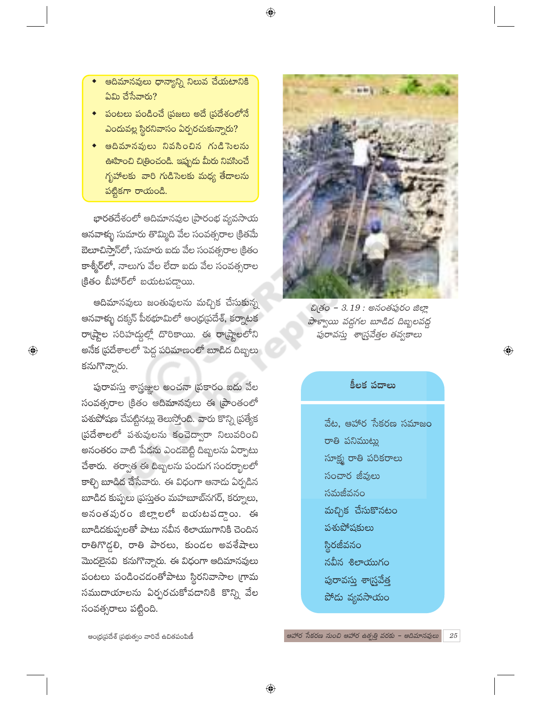- ఆదిమానవులు ధాన్యాన్ని నిలువ చేయటానికి ఏమి చేసేవారు?
- పంటలు పండించే (పజలు అదే (పదేశంలోనే ఎందువల్ల స్థిరనివాసం ఏర్పరచుకున్నారు?
- అదిమానవులు నివసించిన గుడిసెలను <mark>ఊహించి చిట్రించండి. ఇప్పుడు మీరు నివసించే</mark> గృహాలకు వారి గుడిసెలకు మధ్య తేదాలను పట్టికగా రాయండి.

భారతదేశంలో ఆదిమానవుల (పారంభ వ్యవసాయ ఆనవాళ్ళు సుమారు తొమ్మిది వేల సంవత్సరాల క్రితమే బెలూచిస్తాన్లో, సుమారు ఐదు వేల సంవత్సరాల క్రితం కాశ్మీర్లలో, నాలుగు వేల లేదా ఐదు వేల సంవత్సరాల క్రితం బీహార్లో బయటపద్దాయి.

ఆదిమానవులు జంతువులను మచ్చిక చేసుకున్న ఆనవాళ్ళు దక్కన్ పీఠభూమిలో ఆంధ్ర(పదేశ్, కర్నాటక రాట్హాల సరిహద్దల్లో దొరికాయి. ఈ రాట్హాలలోని అనేక (పదేశాలలో పెద్ద పరిమాణంలో బూడిద దిబ్బలు కనుగొన్నారు.

 $\bigoplus$ 

పురావస్తు శాస్త్రజ్ఞుల అంచనా (పకారం ఐదు వేల సంవత్సరాల క్రితం ఆదిమానవులు ఈ ప్రాంతంలో పశుపోషణ చేపట్టినట్లు తెలుస్తోంది. వారు కొన్ని (పత్యేక ప్రదేశాలలో పశువులను కంచెద్వారా నిలువరించి అనంతరం వాటి పేడను ఎండబెట్టి దిబ్బలను ఏర్పాటు చేశారు. తర్వాత ఈ దిబ్బలను పండుగ సందర్భాలలో కాళ్చి బూడిద చేసేవారు. ఈ విధంగా ఆనాడు ఏర్పడిన బూడిద కుప్పలు (పస్తుతం మహబూబ్నగర్, కర్నూలు, అనంతపురం జిల్లాలలో బయటపడాంు. ఈ బూడిదకుప్పలతో పాటు నవీన శిలాయుగానికి చెందిన రాతిగొడ్డలి, రాతి పారలు, కుండల అవశేషాలు మొదలైనవి కనుగొన్నారు. ఈ విధంగా ఆదిమానవులు పంటలు పండించడంతోపాటు స్థిరనివాసాల గ్రామ సముదాయాలను ఏర్పరచుకోవడానికి కొన్ని వేల సంవత్సరాలు పట్టింది.



పాళ్వాయి వద్దగల బూడిద దిబ్బలవద్ద పురావస్తు శార్ష్రవేత్తల తవ్వకాలు

#### కీలక పదాలు

 $\bigoplus$ 

- వేట. ఆహార సేకరణ సమాజం రాతి పనిముట్లు సూక్ష్మ రాతి పరికరాలు సంచార జీవులు సమజీవనం మచ్చిక చేసుకొనటం పశుపోషకులు స్థిరజీవనం నవీన శిలాయుగం పురావస్తు శాస్త్రవేత్త
- పోడు వ్యవసాయం

 $\bigoplus$ 

ఆంధ్రప్రదేశ్ (పభుత్వం వారిచే ఉచితపంపిణీ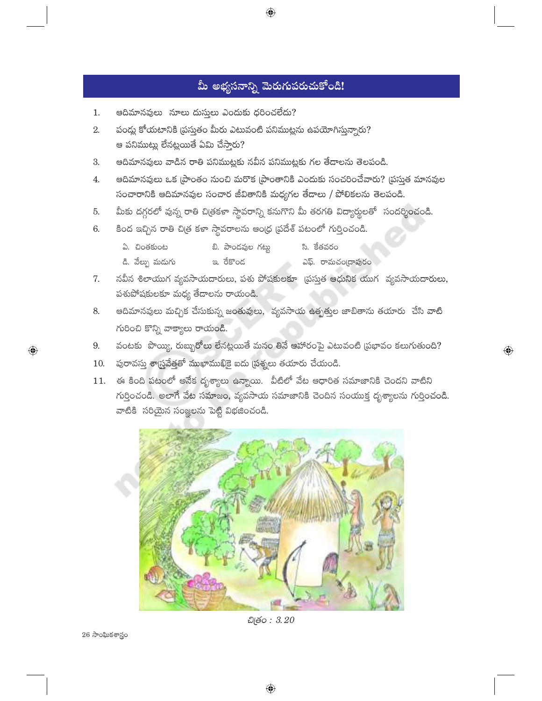# మీ అభ్యసనాన్ని మెరుగుపరుచుకోండి!

 $\bigoplus$ 

- ఆదిమానవులు నూలు దుస్తులు ఎందుకు ధరించలేదు?  $1.$
- 2. పండ్లు కోయటానికి ప్రస్తుతం మీరు ఎటువంటి పనిముట్లను ఉపయోగిస్తున్నారు? ఆ పనిముట్లు లేనట్లయితే ఏమి చేస్తారు?
- ఆదిమానవులు వాడిన రాతి పనిముట్లకు నవీన పనిముట్లకు గల తేడాలను తెలపండి. 3.
- ఆదిమానవులు ఒక [పాంతం నుంచి మరొక [పాంతానికి ఎందుకు సంచరించేవారు? [పసుత మానవుల 4. సంచారానికి ఆదిమానవుల సంచార జీవితానికి మధ్యగల తేడాలు / పోలికలను తెలపండి.
- మీకు దగ్గరలో వున్న రాతి చిత్రకళా స్థావరాన్ని కనుగొని మీ తరగతి విద్యార్థులతో సందర్శించండి. 5.
- కింద ఇచ్చిన రాతి చిత్ర కళా స్థావరాలను ఆంధ్ర ప్రదేశ్ పటంలో గుర్తించండి. 6.
	- బి. పాండవుల గట్టు ఏ. చింతకుంట సి. కేతవరం
	- డి. వేల్ను మడుగు ఇ. రేకొండ ఎఫ్. రామచం[దాపురం
- 7. నవీన శిలాయుగ వ్యవసాయదారులు, పశు పోషకులకూ (పసుత ఆధునిక యుగ వ్యవసాయదారులు, పశుపోషకులకూ మధ్య తేదాలను రాయండి.
- ఆదిమానవులు మచ్చిక చేసుకున్న జంతువులు, వ్యవసాయ ఉత్పత్తుల జాబితాను తయారు చేసి వాటి 8. గురించి కొన్ని వాక్యాలు రాయండి.
- వంటకు పొయ్యి, రుబ్బురోలు లేనట్లయితే మనం తినే ఆహారంపై ఎటువంటి (పభావం కలుగుతుంది? 9.

 $\bigoplus$ 

- $10.$  పురావస్తు శాస్త్రవేత్తతో ముఖాముఖికై ఐదు (పశ్నలు తయారు చేయండి.
- 11. ఈ కింది పటంలో అనేక దృశ్యాలు ఉన్నాయి. వీటిలో వేట ఆధారిత సమాజానికి చెందని వాటిని గుర్తించండి. అలాగే వేట సమాజం, వ్యవసాయ సమాజానికి చెందిన సంయుక్త దృశ్యాలను గుర్తించండి. వాటికి సరియైన సంజ్ఞలను పెట్టి విభజించండి.



ඩු*ඡි*o: 3.20